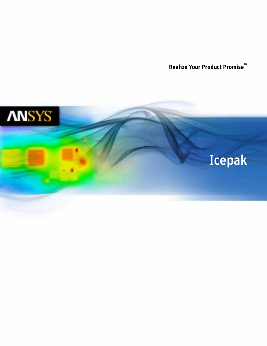**Realize Your Product Promise™**

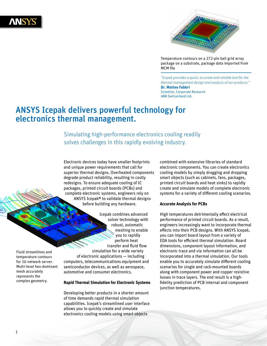



Temperature contours on a 272-pin ball grid array package on a substrate, package data imported from MCM file

*"Icepak provides a quick, accurate and reliable tool for the thermal management design and analysis of our products."* **Dr. Matteo Fabbri** Scientist, Corporate Research ABB Switzerland Ltd.

# ANSYS Icepak delivers powerful technology for electronics thermal management.

Simulating high-performance electronics cooling readily solves challenges in this rapidly evolving industry.

Electronic devices today have smaller footprints and unique power requirements that call for superior thermal designs. Overheated components degrade product reliability, resulting in costly redesigns. To ensure adequate cooling of IC packages, printed circuit boards (PCBs) and complete electronic systems, engineers rely on ANSYS Icepak® to validate thermal designs before building any hardware.

Fluid streamlines and temperature contours for 1U network server. Multi-level hex-dominant mesh accurately represents the complex geometry.

solver technology with robust, automatic meshing to enable you to rapidly perform heat transfer and fluid flow simulation for a wide variety of electronic applications — including computers, telecommunications equipment and semiconductor devices, as well as aerospace, automotive and consumer electronics.

Icepak combines advanced

#### **Rapid Thermal Simulation for Electronic Systems**

Developing better products in a shorter amount of time demands rapid thermal simulation capabilities. Icepak's streamlined user interface allows you to quickly create and simulate electronics cooling models using smart objects

combined with extensive libraries of standard electronic components. You can create electronics cooling models by simply dragging and dropping smart objects (such as cabinets, fans, packages, printed circuit boards and heat sinks) to rapidly create and simulate models of complete electronic systems for a variety of different cooling scenarios.

#### **Accurate Analysis for PCBs**

High temperatures detrimentally affect electrical performance of printed circuit boards. As a result, engineers increasingly want to incorporate thermal effects into their PCB designs. With ANSYS Icepak, you can import board layout from a variety of EDA tools for efficient thermal simulation. Board dimensions, component layout information, and electronic trace and via information can all be incorporated into a thermal simulation. Our tools enable you to accurately simulate different cooling scenarios for single and rack-mounted boards along with component power and copper resistive losses in trace layers. The end result is a highfidelity prediction of PCB internal and component junction temperatures.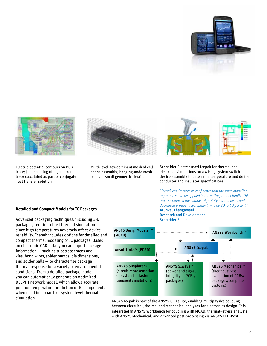



Electric potential contours on PCB trace; Joule heating of high current trace calculated as part of conjugate heat transfer solution



Multi-level hex-dominant mesh of cell phone assembly; hanging-node mesh resolves small geometric details.



Schneider Electric used Icepak for thermal and electrical simulations on a wiring system switch device assembly to determine temperature and define conductor and insulator specifications.

*"Icepak results gave us confidence that the same modeling approach could be applied to the entire product family. This process reduced the number of prototypes and tests, and decreased product development time by 30 to 40 percent."* **Arunvel Thangamani**  Research and Development

Schneider Electric



ANSYS Icepak is part of the ANSYS CFD suite, enabling multiphysics coupling between electrical, thermal and mechanical analyses for electronics design. It is integrated in ANSYS Workbench for coupling with MCAD, thermal–stress analysis with ANSYS Mechanical, and advanced post-processing via ANSYS CFD-Post.

# **Detailed and Compact Models for IC Packages**

Advanced packaging techniques, including 3-D packages, require robust thermal simulation since high temperatures adversely affect device reliability. Icepak includes options for detailed and compact thermal modeling of IC packages. Based on electronic CAD data, you can import package information — such as substrate traces and vias, bond wires, solder bumps, die dimensions, and solder balls — to characterize package thermal response for a variety of environmental conditions. From a detailed package model, you can automatically generate an optimized DELPHI network model, which allows accurate junction temperature prediction of IC components when used in a board- or system-level thermal simulation.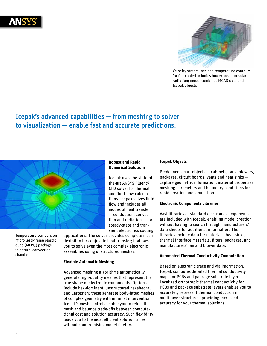



Velocity streamlines and temperature contours for fan-cooled avionics box exposed to solar radiation; model combines MCAD data and Icepak objects

# Icepak's advanced capabilities — from meshing to solver to visualization — enable fast and accurate predictions.



Temperature contours on micro lead-frame plastic quad (MLPQ) package in natural convection chamber

**Robust and Rapid Numerical Solutions**

Icepak uses the state-ofthe-art ANSYS Fluent® CFD solver for thermal and fluid-flow calculations. Icepak solves fluid flow and includes all modes of heat transfer — conduction, convection and radiation — for steady-state and transient electronics cooling

applications. The solver provides complete mesh flexibility for conjugate heat transfer; it allows you to solve even the most complex electronic assemblies using unstructured meshes.

#### **Flexible Automatic Meshing**

Advanced meshing algorithms automatically generate high-quality meshes that represent the true shape of electronic components. Options include hex-dominant, unstructured hexahedral and Cartesian; these generate body-fitted meshes of complex geometry with minimal intervention. Icepak's mesh controls enable you to refine the mesh and balance trade-offs between computational cost and solution accuracy. Such flexibility leads you to the most efficient solution times without compromising model fidelity.

#### **Icepak Objects**

Predefined smart objects — cabinets, fans, blowers, packages, circuit boards, vents and heat sinks capture geometric information, material properties, meshing parameters and boundary conditions for rapid creation and simulation.

#### **Electronic Components Libraries**

Vast libraries of standard electronic components are included with Icepak, enabling model creation without having to search through manufacturers' data sheets for additional information. The libraries include data for materials, heat sinks, thermal interface materials, filters, packages, and manufacturers' fan and blower data.

### **Automated Thermal Conductivity Computation**

Based on electronic trace and via information, Icepak computes detailed thermal conductivity maps for PCBs and package substrate layers. Localized orthotropic thermal conductivity for PCBs and package substrate layers enables you to accurately represent thermal conduction in multi-layer structures, providing increased accuracy for your thermal solutions.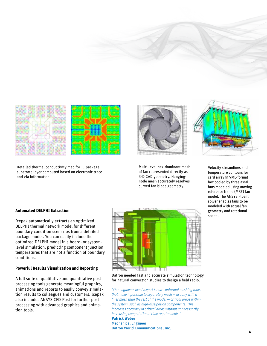



Detailed thermal conductivity map for IC package substrate layer computed based on electronic trace and via information



Velocity streamlines and temperature contours for card array in VME-format box cooled by three axial fans modeled using moving reference frame (MRF) fan model. The ANSYS Fluent solver enables fans to be modeled with actual fan geometry and rotational speed.

### **Automated DELPHI Extraction**

Icepak automatically extracts an optimized DELPHI thermal network model for different boundary condition scenarios from a detailed package model. You can easily include the optimized DELPHI model in a board- or systemlevel simulation, predicting component junction temperatures that are not a function of boundary conditions.

#### **Powerful Results Visualization and Reporting**

A full suite of qualitative and quantitative postprocessing tools generate meaningful graphics, animations and reports to easily convey simulation results to colleagues and customers. Icepak also includes ANSYS CFD-Post for further postprocessing with advanced graphics and animation tools.



Datron needed fast and accurate simulation technology for natural convection studies to design a field radio.

*"Our engineers liked Icepak's non-conformal meshing tools that make it possible to separately mesh — usually with a finer mesh than the rest of the model — critical areas within the system, such as high-dissipation components. This increases accuracy in critical areas without unnecessarily increasing computational time requirements."* **Patrick Weber** Mechanical Engineer Datron World Communications, Inc.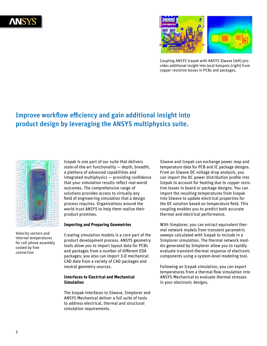



Coupling ANSYS Icepak with ANSYS SIwave (left) provides additional insight into local hotspots (right) from copper resistive losses in PCBs and packages.

# Improve workflow efficiency and gain additional insight into product design by leveraging the ANSYS multiphysics suite.



Velocity vectors and internal temperatures for cell phone assembly cooled by free convection

Icepak is one part of our suite that delivers state-of-the-art functionality — depth, breadth, a plethora of advanced capabilities and integrated multiphysics — providing confidence that your simulation results reflect real-world outcomes. The comprehensive range of solutions provides access to virtually any field of engineering simulation that a design process requires. Organizations around the world trust ANSYS to help them realize their product promises.

## **Importing and Preparing Geometries**

Creating simulation models is a core part of the product development process. ANSYS geometry tools allow you to import layout data for PCBs and packages from a number of different EDA packages; you also can import 3-D mechanical CAD data from a variety of CAD packages and neutral geometry sources.

### **Interfaces to Electrical and Mechanical Simulation**

The Icepak interfaces to SIwave, Simplorer and ANSYS Mechanical deliver a full suite of tools to address electrical, thermal and structural simulation requirements.

SIwave and Icepak can exchange power map and temperature data for PCB and IC package designs. From an SIwave DC voltage drop analysis, you can import the DC power distribution profile into Icepak to account for heating due to copper resistive losses in board or package designs. You can import the resulting temperatures from Icepak into SIwave to update electrical properties for the DC solution based on temperature field. This coupling enables you to predict both accurate thermal and electrical performance.

With Simplorer, you can extract equivalent thermal network models from transient parametric sweeps calculated with Icepak to include in a Simplorer simulation. The thermal network models generated by Simplorer allow you to rapidly evaluate transient-thermal response of electronic components using a system-level modeling tool.

Following an Icepak simulation, you can export temperatures from a thermal flow simulation into ANSYS Mechanical to evaluate thermal stresses in your electronic designs.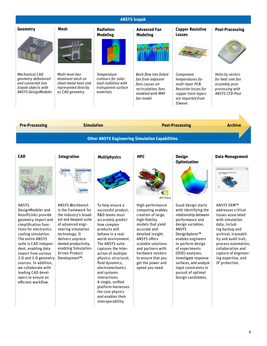| <b>ANSYS Icepak</b>                                                                                                     |                                                                                                          |                                                                                                     |                                                                                                                              |                                                                                                                                  |                                                                                                     |
|-------------------------------------------------------------------------------------------------------------------------|----------------------------------------------------------------------------------------------------------|-----------------------------------------------------------------------------------------------------|------------------------------------------------------------------------------------------------------------------------------|----------------------------------------------------------------------------------------------------------------------------------|-----------------------------------------------------------------------------------------------------|
| Geometry                                                                                                                | Mesh                                                                                                     | <b>Radiation</b><br><b>Modeling</b>                                                                 | <b>Advanced Fan</b><br><b>Modeling</b>                                                                                       | <b>Copper Resistive</b><br><b>Losses</b>                                                                                         | <b>Post-Processing</b>                                                                              |
|                                                                                                                         |                                                                                                          |                                                                                                     |                                                                                                                              |                                                                                                                                  |                                                                                                     |
| Mechanical CAD<br>geometry defeatured<br>and converted into<br>$\frac{1}{2}$ Icepak objects with<br>ANSYS DesignModeler | Multi-level hex-<br>dominant mesh on<br>sheet-metal heat sink<br>represented directly<br>as CAD geometry | <b>Temperature</b><br>contours for solar<br>load radiation with<br>transparent surface<br>materials | <b>Back flow into failed</b><br>fan from adjacent<br>fans causes air<br>recirculation; fans<br>modeled with MRF<br>fan model | Component<br>temperatures for<br>multi-layer PCB.<br>Resistive losses for<br>copper trace layers<br>are imported from<br>SIwave. | Velocity vectors<br>for heat sink fan<br>assembly post-<br>processing with<br><b>ANSYS CFD-Post</b> |
| <b>Pre-Processing</b>                                                                                                   | <b>Simulation</b>                                                                                        |                                                                                                     | <b>Post-Processing</b>                                                                                                       |                                                                                                                                  | <b>Archive</b>                                                                                      |
|                                                                                                                         |                                                                                                          |                                                                                                     |                                                                                                                              |                                                                                                                                  |                                                                                                     |

**Other ANSYS Engineering Simulation Capabilities**



### ANSYS

DesignModeler and AnsoftLinks provide geometry import and simplification functions for electronics cooling simulation. The entire ANSYS suite is CAD independent, enabling data import from various 2-D and 3-D geometry sources. In addition, we collaborate with leading CAD developers to ensure an efficient workflow.



ANSYS Workbench is the framework for the industry's broadest and deepest suite of advanced engineering simulation technology. It delivers unprecedented productivity, enabling Simulation-Driven Product Development™.



To help ensure a successful product, R&D teams must accurately predict how complex products will behave in a realworld environment. The ANSYS suite captures the interaction of multiple physics: structural, fluid dynamics, electromechanics and systems interactions. A single, unified platform harnesses the core physics and enables their interoperability.

Q

 $n$ VIDIA.

High-performance computing enables creation of large, high-fidelity models that yield accurate and detailed insight. ANSYS offers scalable solutions and partners with hardware vendors to ensure that you get the power and speed you need.

**Optimization**



Good design starts with identifying the relationship between performance and design variables. ANSYS DesignXplorer™ enables engineers to perform design of experiments (DOE) analyses, investigate response surfaces, and analyze input constraints in pursuit of optimal design candidates.

#### **Data Management**



ANSYS EKM™ addresses critical issues associated with simulation data, including backup and archival, traceability and audit trail, process automation, collaboration and capture of engineering expertise, and IP protection.

6